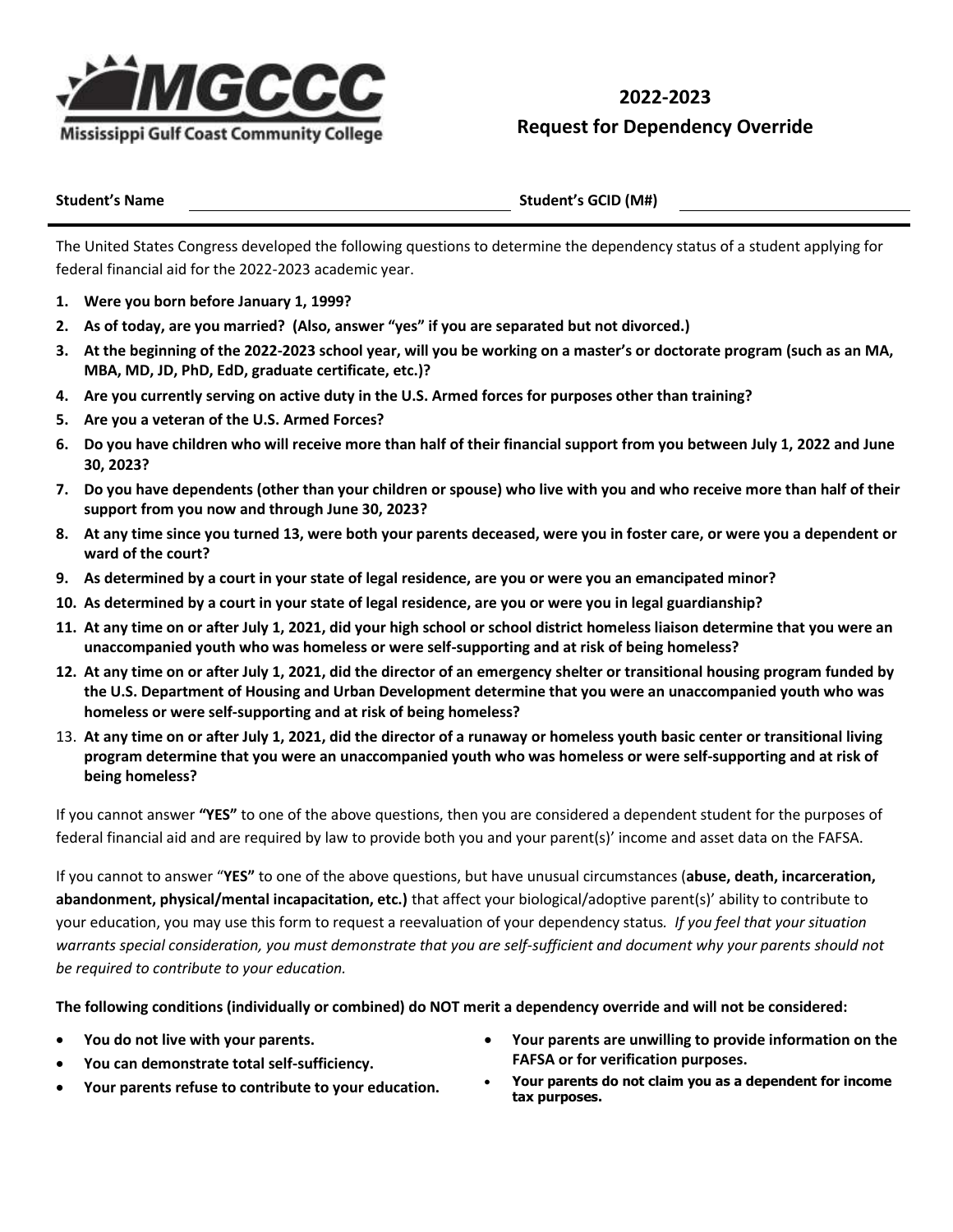

## **2022-2023 Request for Dependency Override**

**Student's Name Student's GCID (M#)**

The United States Congress developed the following questions to determine the dependency status of a student applying for federal financial aid for the 2022-2023 academic year.

- **1. Were you born before January 1, 1999?**
- **2. As of today, are you married? (Also, answer "yes" if you are separated but not divorced.)**
- **3. At the beginning of the 2022-2023 school year, will you be working on a master's or doctorate program (such as an MA, MBA, MD, JD, PhD, EdD, graduate certificate, etc.)?**
- **4. Are you currently serving on active duty in the U.S. Armed forces for purposes other than training?**
- **5. Are you a veteran of the U.S. Armed Forces?**
- **6. Do you have children who will receive more than half of their financial support from you between July 1, 2022 and June 30, 2023?**
- **7. Do you have dependents (other than your children or spouse) who live with you and who receive more than half of their support from you now and through June 30, 2023?**
- **8. At any time since you turned 13, were both your parents deceased, were you in foster care, or were you a dependent or ward of the court?**
- **9. As determined by a court in your state of legal residence, are you or were you an emancipated minor?**
- **10. As determined by a court in your state of legal residence, are you or were you in legal guardianship?**
- **11. At any time on or after July 1, 2021, did your high school or school district homeless liaison determine that you were an unaccompanied youth who was homeless or were self-supporting and at risk of being homeless?**
- **12. At any time on or after July 1, 2021, did the director of an emergency shelter or transitional housing program funded by the U.S. Department of Housing and Urban Development determine that you were an unaccompanied youth who was homeless or were self-supporting and at risk of being homeless?**
- 13. **At any time on or after July 1, 2021, did the director of a runaway or homeless youth basic center or transitional living program determine that you were an unaccompanied youth who was homeless or were self-supporting and at risk of being homeless?**

If you cannot answer **"YES"** to one of the above questions, then you are considered a dependent student for the purposes of federal financial aid and are required by law to provide both you and your parent(s)' income and asset data on the FAFSA.

If you cannot to answer "**YES"** to one of the above questions, but have unusual circumstances (**abuse, death, incarceration, abandonment, physical/mental incapacitation, etc.)** that affect your biological/adoptive parent(s)' ability to contribute to your education, you may use this form to request a reevaluation of your dependency status*. If you feel that your situation*  warrants special consideration, you must demonstrate that you are self-sufficient and document why your parents should not *be required to contribute to your education.*

**The following conditions (individually or combined) do NOT merit a dependency override and will not be considered:**

- **You do not live with your parents.**
- **You can demonstrate total self-sufficiency.**
- **Your parents refuse to contribute to your education.**
- **Your parents are unwilling to provide information on the FAFSA or for verification purposes.**
- **Your parents do not claim you as a dependent for income tax purposes.**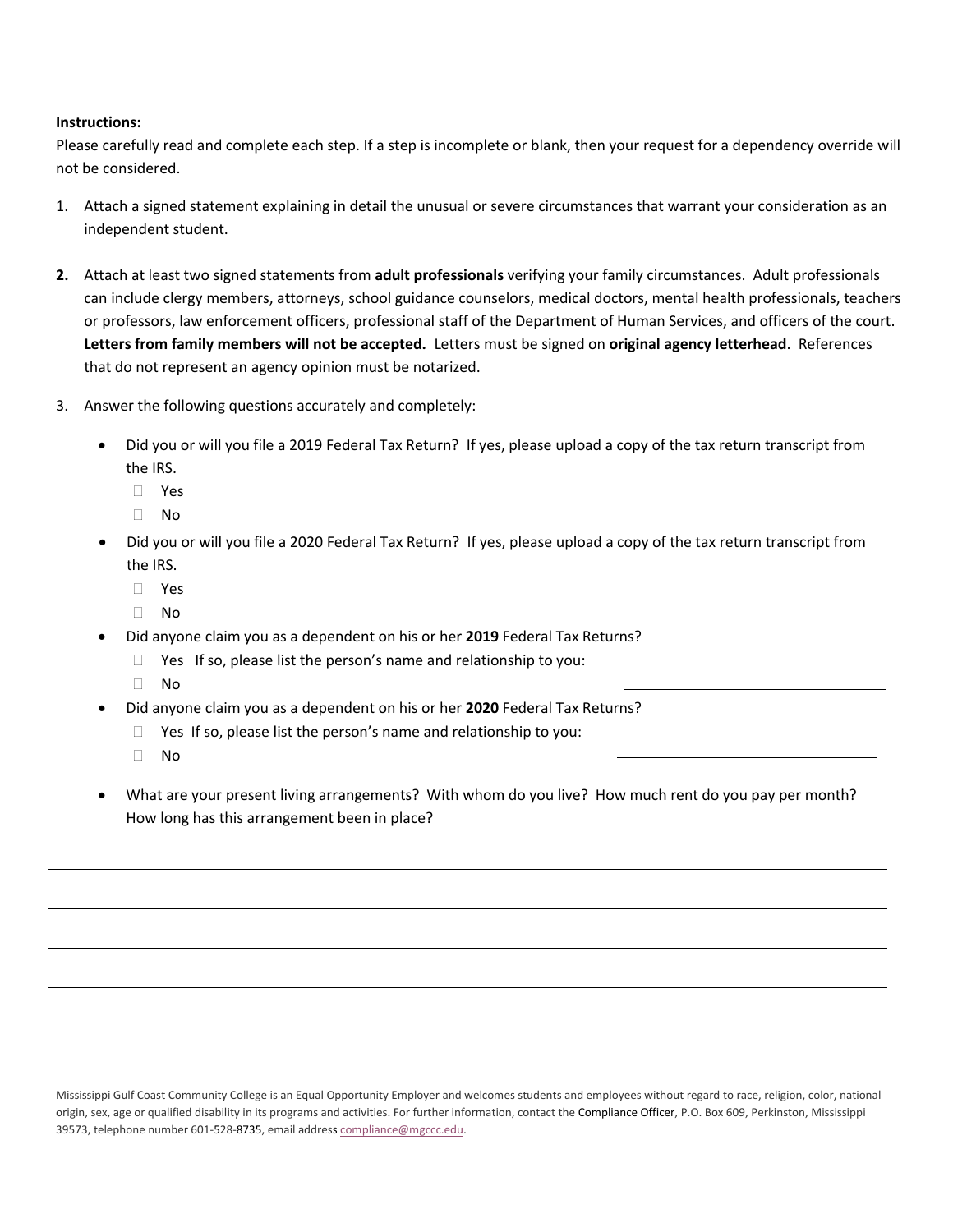## **Instructions:**

Please carefully read and complete each step. If a step is incomplete or blank, then your request for a dependency override will not be considered.

- 1. Attach a signed statement explaining in detail the unusual or severe circumstances that warrant your consideration as an independent student.
- **2.** Attach at least two signed statements from **adult professionals** verifying your family circumstances. Adult professionals can include clergy members, attorneys, school guidance counselors, medical doctors, mental health professionals, teachers or professors, law enforcement officers, professional staff of the Department of Human Services, and officers of the court. **Letters from family members will not be accepted.** Letters must be signed on **original agency letterhead**. References that do not represent an agency opinion must be notarized.
- 3. Answer the following questions accurately and completely:
	- Did you or will you file a 2019 Federal Tax Return? If yes, please upload a copy of the tax return transcript from the IRS.
		- Yes
		- $\Box$  No
	- Did you or will you file a 2020 Federal Tax Return? If yes, please upload a copy of the tax return transcript from the IRS.
		- Yes
		- $\Box$  No
	- Did anyone claim you as a dependent on his or her **2019** Federal Tax Returns?
		- $\Box$  Yes If so, please list the person's name and relationship to you:
		- No
	- Did anyone claim you as a dependent on his or her **2020** Federal Tax Returns?
		- $\Box$  Yes If so, please list the person's name and relationship to you:
		- $\neg$  No
	- What are your present living arrangements? With whom do you live? How much rent do you pay per month? How long has this arrangement been in place?

Mississippi Gulf Coast Community College is an Equal Opportunity Employer and welcomes students and employees without regard to race, religion, color, national origin, sex, age or qualified disability in its programs and activities. For further information, contact the Compliance Officer, P.O. Box 609, Perkinston, Mississippi 39573, telephone number 601-528-8735, email address [compliance@mgccc.edu.](mailto:compliance@mgccc.edu)